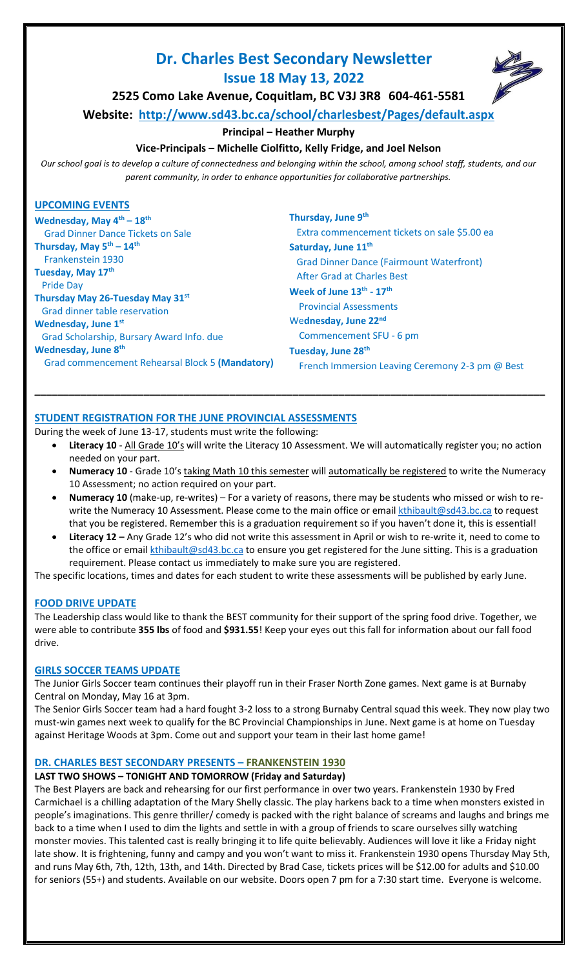# **Dr. Charles Best Secondary Newsletter Issue 18 May 13, 2022**



**2525 Como Lake Avenue, Coquitlam, BC V3J 3R8 604-461-5581**

**Website: <http://www.sd43.bc.ca/school/charlesbest/Pages/default.aspx>**

### **Principal – Heather Murphy**

### **Vice-Principals – Michelle Ciolfitto, Kelly Fridge, and Joel Nelson**

*Our school goal is to develop a culture of connectedness and belonging within the school, among school staff, students, and our parent community, in order to enhance opportunities for collaborative partnerships.*

### **UPCOMING EVENTS**

**Wednesday, May 4th – 18th** Grad Dinner Dance Tickets on Sale **Thursday, May 5th – 14th** Frankenstein 1930 **Tuesday, May 17th** Pride Day **Thursday May 26-Tuesday May 31st** Grad dinner table reservation **Wednesday, June 1st** Grad Scholarship, Bursary Award Info. due **Wednesday, June 8th** Grad commencement Rehearsal Block 5 **(Mandatory)**

**Thursday, June 9th** Extra commencement tickets on sale \$5.00 ea **Saturday, June 11th** Grad Dinner Dance (Fairmount Waterfront) After Grad at Charles Best **Week of June 13th - 17th** Provincial Assessments We**dnesday, June 22**<sup>nd</sup> Commencement SFU - 6 pm **Tuesday, June 28th** French Immersion Leaving Ceremony 2-3 pm @ Best

**STUDENT REGISTRATION FOR THE JUNE PROVINCIAL ASSESSMENTS** 

During the week of June 13-17, students must write the following:

Literacy 10 - All Grade 10's will write the Literacy 10 Assessment. We will automatically register you; no action needed on your part.

**\_\_\_\_\_\_\_\_\_\_\_\_\_\_\_\_\_\_\_\_\_\_\_\_\_\_\_\_\_\_\_\_\_\_\_\_\_\_\_\_\_\_\_\_\_\_\_\_\_\_\_\_\_\_\_\_\_\_\_\_\_\_\_\_\_\_\_\_\_\_\_\_\_\_\_\_\_\_\_\_\_\_\_\_\_\_\_\_\_**

- **Numeracy 10** Grade 10's taking Math 10 this semester will automatically be registered to write the Numeracy 10 Assessment; no action required on your part.
- **Numeracy 10** (make-up, re-writes) For a variety of reasons, there may be students who missed or wish to rewrite the Numeracy 10 Assessment. Please come to the main office or email [kthibault@sd43.bc.ca](mailto:kthibault@sd43.bc.ca) to request that you be registered. Remember this is a graduation requirement so if you haven't done it, this is essential!
- **Literacy 12 –** Any Grade 12's who did not write this assessment in April or wish to re-write it, need to come to the office or email [kthibault@sd43.bc.ca](mailto:kthibault@sd43.bc.ca) to ensure you get registered for the June sitting. This is a graduation requirement. Please contact us immediately to make sure you are registered.

The specific locations, times and dates for each student to write these assessments will be published by early June.

#### **FOOD DRIVE UPDATE**

The Leadership class would like to thank the BEST community for their support of the spring food drive. Together, we were able to contribute **355 lbs** of food and **\$931.55**! Keep your eyes out this fall for information about our fall food drive.

#### **GIRLS SOCCER TEAMS UPDATE**

The Junior Girls Soccer team continues their playoff run in their Fraser North Zone games. Next game is at Burnaby Central on Monday, May 16 at 3pm.

The Senior Girls Soccer team had a hard fought 3-2 loss to a strong Burnaby Central squad this week. They now play two must-win games next week to qualify for the BC Provincial Championships in June. Next game is at home on Tuesday against Heritage Woods at 3pm. Come out and support your team in their last home game!

### **DR. CHARLES BEST SECONDARY PRESENTS – FRANKENSTEIN 1930**

#### **LAST TWO SHOWS – TONIGHT AND TOMORROW (Friday and Saturday)**

The Best Players are back and rehearsing for our first performance in over two years. Frankenstein 1930 by Fred Carmichael is a chilling adaptation of the Mary Shelly classic. The play harkens back to a time when monsters existed in people's imaginations. This genre thriller/ comedy is packed with the right balance of screams and laughs and brings me back to a time when I used to dim the lights and settle in with a group of friends to scare ourselves silly watching monster movies. This talented cast is really bringing it to life quite believably. Audiences will love it like a Friday night late show. It is frightening, funny and campy and you won't want to miss it. Frankenstein 1930 opens Thursday May 5th, and runs May 6th, 7th, 12th, 13th, and 14th. Directed by Brad Case, tickets prices will be \$12.00 for adults and \$10.00 for seniors (55+) and students. Available on our website. Doors open 7 pm for a 7:30 start time. Everyone is welcome.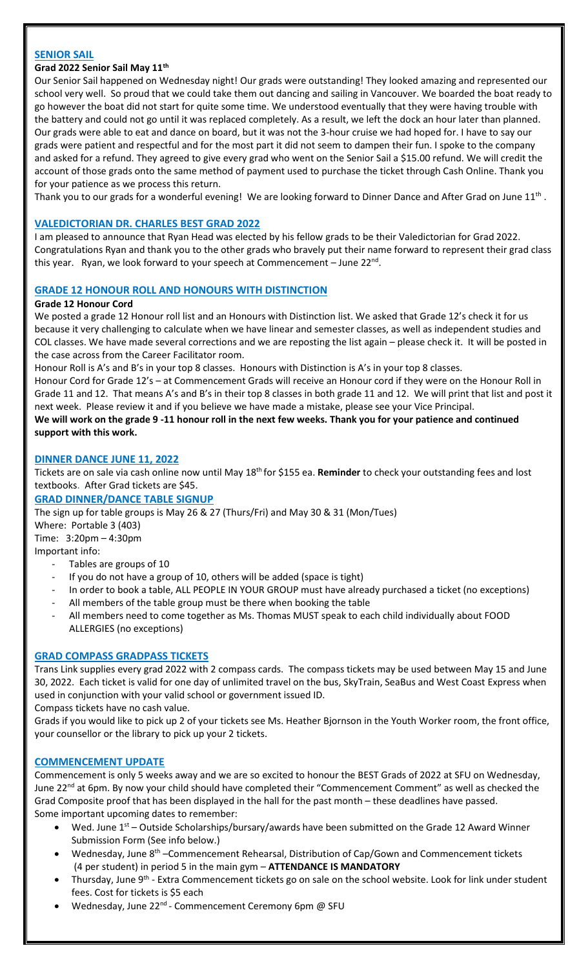### **SENIOR SAIL**

#### **Grad 2022 Senior Sail May 11th**

Our Senior Sail happened on Wednesday night! Our grads were outstanding! They looked amazing and represented our school very well. So proud that we could take them out dancing and sailing in Vancouver. We boarded the boat ready to go however the boat did not start for quite some time. We understood eventually that they were having trouble with the battery and could not go until it was replaced completely. As a result, we left the dock an hour later than planned. Our grads were able to eat and dance on board, but it was not the 3-hour cruise we had hoped for. I have to say our grads were patient and respectful and for the most part it did not seem to dampen their fun. I spoke to the company and asked for a refund. They agreed to give every grad who went on the Senior Sail a \$15.00 refund. We will credit the account of those grads onto the same method of payment used to purchase the ticket through Cash Online. Thank you for your patience as we process this return.

Thank you to our grads for a wonderful evening! We are looking forward to Dinner Dance and After Grad on June  $11^{\text{th}}$  .

### **VALEDICTORIAN DR. CHARLES BEST GRAD 2022**

I am pleased to announce that Ryan Head was elected by his fellow grads to be their Valedictorian for Grad 2022. Congratulations Ryan and thank you to the other grads who bravely put their name forward to represent their grad class this year. Ryan, we look forward to your speech at Commencement – June 22<sup>nd</sup>.

### **GRADE 12 HONOUR ROLL AND HONOURS WITH DISTINCTION**

### **Grade 12 Honour Cord**

We posted a grade 12 Honour roll list and an Honours with Distinction list. We asked that Grade 12's check it for us because it very challenging to calculate when we have linear and semester classes, as well as independent studies and COL classes. We have made several corrections and we are reposting the list again – please check it. It will be posted in the case across from the Career Facilitator room.

Honour Roll is A's and B's in your top 8 classes. Honours with Distinction is A's in your top 8 classes.

Honour Cord for Grade 12's – at Commencement Grads will receive an Honour cord if they were on the Honour Roll in Grade 11 and 12. That means A's and B's in their top 8 classes in both grade 11 and 12. We will print that list and post it next week. Please review it and if you believe we have made a mistake, please see your Vice Principal.

**We will work on the grade 9 -11 honour roll in the next few weeks. Thank you for your patience and continued support with this work.** 

### **DINNER DANCE JUNE 11, 2022**

Tickets are on sale via cash online now until May 18<sup>th</sup> for \$155 ea. Reminder to check your outstanding fees and lost textbooks. After Grad tickets are \$45.

### **GRAD DINNER/DANCE TABLE SIGNUP**

The sign up for table groups is May 26 & 27 (Thurs/Fri) and May 30 & 31 (Mon/Tues)

Where: Portable 3 (403) Time: 3:20pm – 4:30pm

Important info:

- Tables are groups of 10
- If you do not have a group of 10, others will be added (space is tight)
- In order to book a table, ALL PEOPLE IN YOUR GROUP must have already purchased a ticket (no exceptions)
- All members of the table group must be there when booking the table
- All members need to come together as Ms. Thomas MUST speak to each child individually about FOOD ALLERGIES (no exceptions)

#### **GRAD COMPASS GRADPASS TICKETS**

Trans Link supplies every grad 2022 with 2 compass cards. The compass tickets may be used between May 15 and June 30, 2022. Each ticket is valid for one day of unlimited travel on the bus, SkyTrain, SeaBus and West Coast Express when used in conjunction with your valid school or government issued ID.

Compass tickets have no cash value.

Grads if you would like to pick up 2 of your tickets see Ms. Heather Bjornson in the Youth Worker room, the front office, your counsellor or the library to pick up your 2 tickets.

#### **COMMENCEMENT UPDATE**

Commencement is only 5 weeks away and we are so excited to honour the BEST Grads of 2022 at SFU on Wednesday, June 22<sup>nd</sup> at 6pm. By now your child should have completed their "Commencement Comment" as well as checked the Grad Composite proof that has been displayed in the hall for the past month – these deadlines have passed. Some important upcoming dates to remember:

- Wed. June  $1<sup>st</sup>$  Outside Scholarships/bursary/awards have been submitted on the Grade 12 Award Winner Submission Form (See info below.)
- Wednesday, June 8<sup>th</sup> –Commencement Rehearsal, Distribution of Cap/Gown and Commencement tickets (4 per student) in period 5 in the main gym – **ATTENDANCE IS MANDATORY**
- Thursday, June 9<sup>th</sup> Extra Commencement tickets go on sale on the school website. Look for link under student fees. Cost for tickets is \$5 each
- Wednesday, June 22<sup>nd</sup> Commencement Ceremony 6pm @ SFU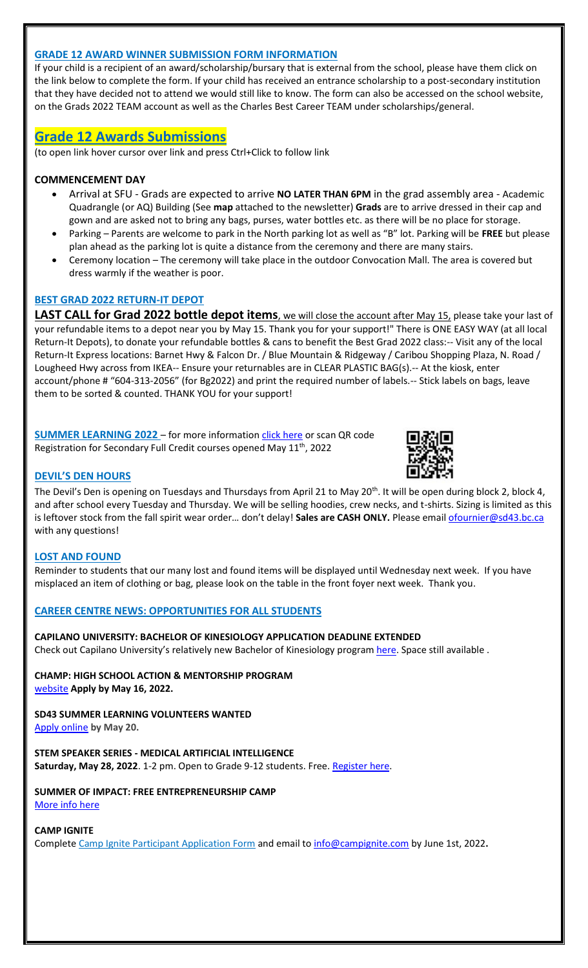### **GRADE 12 AWARD WINNER SUBMISSION FORM INFORMATION**

If your child is a recipient of an award/scholarship/bursary that is external from the school, please have them click on the link below to complete the form. If your child has received an entrance scholarship to a post-secondary institution that they have decided not to attend we would still like to know. The form can also be accessed on the school website, on the Grads 2022 TEAM account as well as the Charles Best Career TEAM under scholarships/general.

### **[Grade 12 Awards Submissions](https://forms.office.com/Pages/ResponsePage.aspx?id=74xl2ZICUkKZJWRC3iSkS2U9i0mSAAZBgmBJ4n69wmtURUxHUFZOTTFVRFVEWUVSR0JMVVQwVE9NUi4u)**

(to open link hover cursor over link and press Ctrl+Click to follow link

### **COMMENCEMENT DAY**

- Arrival at SFU Grads are expected to arrive **NO LATER THAN 6PM** in the grad assembly area Academic Quadrangle (or AQ) Building (See **map** attached to the newsletter) **Grads** are to arrive dressed in their cap and gown and are asked not to bring any bags, purses, water bottles etc. as there will be no place for storage.
- Parking Parents are welcome to park in the North parking lot as well as "B" lot. Parking will be **FREE** but please plan ahead as the parking lot is quite a distance from the ceremony and there are many stairs.
- Ceremony location The ceremony will take place in the outdoor Convocation Mall. The area is covered but dress warmly if the weather is poor.

### **BEST GRAD 2022 RETURN-IT DEPOT**

LAST CALL for Grad 2022 bottle depot items, we will close the account after May 15, please take your last of your refundable items to a depot near you by May 15. Thank you for your support!" There is ONE EASY WAY (at all local Return-It Depots), to donate your refundable bottles & cans to benefit the Best Grad 2022 class:-- Visit any of the local Return-It Express locations: Barnet Hwy & Falcon Dr. / Blue Mountain & Ridgeway / Caribou Shopping Plaza, N. Road / Lougheed Hwy across from IKEA-- Ensure your returnables are in CLEAR PLASTIC BAG(s).-- At the kiosk, enter account/phone # "604-313-2056" (for Bg2022) and print the required number of labels.-- Stick labels on bags, leave them to be sorted & counted. THANK YOU for your support!

**SUMMER LEARNING 2022** – for more information [click here](https://ce43.augusoft.net/info/landing/summer-learning) or scan QR code Registration for Secondary Full Credit courses opened May 11<sup>th</sup>, 2022



### **DEVIL'S DEN HOURS**

The Devil's Den is opening on Tuesdays and Thursdays from April 21 to May 20<sup>th</sup>. It will be open during block 2, block 4, and after school every Tuesday and Thursday. We will be selling hoodies, crew necks, and t-shirts. Sizing is limited as this is leftover stock from the fall spirit wear order... don't delay! Sales are CASH ONLY. Please email [ofournier@sd43.bc.ca](mailto:ofournier@sd43.bc.ca) with any questions!

#### **LOST AND FOUND**

Reminder to students that our many lost and found items will be displayed until Wednesday next week. If you have misplaced an item of clothing or bag, please look on the table in the front foyer next week. Thank you.

#### **CAREER CENTRE NEWS: OPPORTUNITIES FOR ALL STUDENTS**

**CAPILANO UNIVERSITY: BACHELOR OF KINESIOLOGY APPLICATION DEADLINE EXTENDED** Check out Capilano University's relatively new Bachelor of Kinesiology program [here.](https://www.capilanou.ca/programs--courses/program-profiles/bachelor-of-kinesiology/?&tab=tab-program-about) Space still available .

**CHAMP: HIGH SCHOOL ACTION & MENTORSHIP PROGRAM** [website](http://www.metrovancouver.org/events/school-programs/youth-leadership/programs/champ/Pages/default.aspx) **Apply by May 16, 2022.**

**SD43 SUMMER LEARNING VOLUNTEERS WANTED** [Apply online](https://forms.office.com/Pages/ResponsePage.aspx?id=74xl2ZICUkKZJWRC3iSkS-W45W4oHn9IuQdblaYVE0lUOFk1MFlRTFlWWkhOOVlYNUJCSDQ0SkdFTi4u) **by May 20.**

**STEM SPEAKER SERIES - MEDICAL ARTIFICIAL INTELLIGENCE Saturday, May 28, 2022**. 1-2 pm. Open to Grade 9-12 students. Free. [Register here.](http://websurvey.sfu.ca/survey/424458290)

**SUMMER OF IMPACT: FREE ENTREPRENEURSHIP CAMP** [More info here](https://www.theleagueofinnovators.org/ready-to-learn)

### **CAMP IGNITE**

Complete [Camp Ignite Participant Application Form](https://img1.wsimg.com/blobby/go/46f73a6f-33ca-4d21-8cf3-f0e2577e6819/downloads/Camp%20Ignite%202022%20Participant%20Application.pdf?ver=1648409884935) and email t[o info@campignite.com](mailto:info@campignite.com) by June 1st, 2022**.**